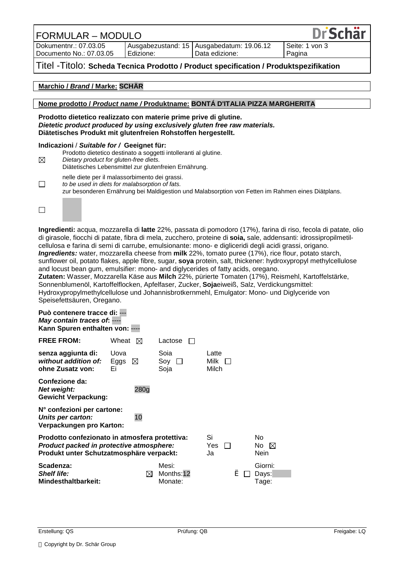FORMULAR – MODULO

Dokumentnr.: 07.03.05 Documento No.: 07.03.05

Ausgabezustand: 15 Edizione:

Ausgabedatum: 19.06.12 Data edizione:

Seite: 1 von 3 Pagina

**Dr Schär** 

## Titel -Titolo: **Scheda Tecnica Prodotto / Product specification / Produktspezifikation**

### **Marchio /** *Brand* **/ Marke: SCHÄR**

#### **Nome prodotto /** *Product name /* **Produktname: BONTÁ D'ITALIA PIZZA MARGHERITA**

#### **Prodotto dietetico realizzato con materie prime prive di glutine.**  *Dietetic product produced by using exclusively gluten free raw materials.*  **Diätetisches Produkt mit glutenfreien Rohstoffen hergestellt.**

## **Indicazioni** / *Suitable for /* **Geeignet für:**

| ⊠      | Prodotto dietetico destinato a soggetti intolleranti al glutine.<br>Dietary product for gluten-free diets.<br>Diätetisches Lebensmittel zur glutenfreien Ernährung.                                   |
|--------|-------------------------------------------------------------------------------------------------------------------------------------------------------------------------------------------------------|
| $\Box$ | nelle diete per il malassorbimento dei grassi.<br>to be used in diets for malabsorption of fats.<br>zur besonderen Ernährung bei Maldigestion und Malabsorption von Fetten im Rahmen eines Diätplans. |

 $\Box$ 

**Ingredienti:** acqua, mozzarella di **latte** 22%, passata di pomodoro (17%), farina di riso, fecola di patate, olio di girasole, fiocchi di patate, fibra di mela, zucchero, proteine di **soia,** sale, addensanti: idrossipropilmetilcellulosa e farina di semi di carrube, emulsionante: mono- e digliceridi degli acidi grassi, origano. *Ingredients:* water, mozzarella cheese from **milk** 22%, tomato puree (17%), rice flour, potato starch, sunflower oil, potato flakes, apple fibre, sugar, **soya** protein, salt, thickener: hydroxypropyl methylcellulose and locust bean gum, emulsifier: mono- and diglycerides of fatty acids, oregano. **Zutaten:** Wasser, Mozzarella Käse aus **Milch** 22%, pürierte Tomaten (17%), Reismehl, Kartoffelstärke,

Sonnenblumenöl, Kartoffelflocken, Apfelfaser, Zucker, **Soja**eiweiß, Salz, Verdickungsmittel: Hydroxypropylmethylcellulose und Johannisbrotkernmehl, Emulgator: Mono- und Diglyceride von Speisefettsäuren, Oregano.

| Può contenere tracce di: ---<br>May contain traces of: ----<br>Kann Spuren enthalten von: ----                                         |                                    |                                          |                        |                           |
|----------------------------------------------------------------------------------------------------------------------------------------|------------------------------------|------------------------------------------|------------------------|---------------------------|
| <b>FREE FROM:</b>                                                                                                                      | Wheat $\boxtimes$                  | Lactose                                  |                        |                           |
| senza aggiunta di:<br>without addition of:<br>ohne Zusatz von:                                                                         | Uova<br>Eggs $\boxtimes$<br>Εi     | Soia<br>Sov<br>$\perp$<br>Soja           | Latte<br>Milk<br>Milch |                           |
| Confezione da:<br>Net weight:<br><b>Gewicht Verpackung:</b>                                                                            |                                    |                                          |                        |                           |
| N° confezioni per cartone:<br>10<br>Units per carton:<br>Verpackungen pro Karton:                                                      |                                    |                                          |                        |                           |
| Prodotto confezionato in atmosfera protettiva:<br>Product packed in protective atmosphere:<br>Produkt unter Schutzatmosphäre verpackt: | Si<br>Yes.<br>$\mathbb{R}^n$<br>Ja | No.<br>No.<br>$\boxtimes$<br><b>Nein</b> |                        |                           |
| Scadenza:<br><b>Shelf life:</b><br><b>Mindesthaltbarkeit:</b>                                                                          | ⊠                                  | Mesi:<br>Months:12<br>Monate:            | è<br>$\mathbf{I}$      | Giorni:<br>Days:<br>Tage: |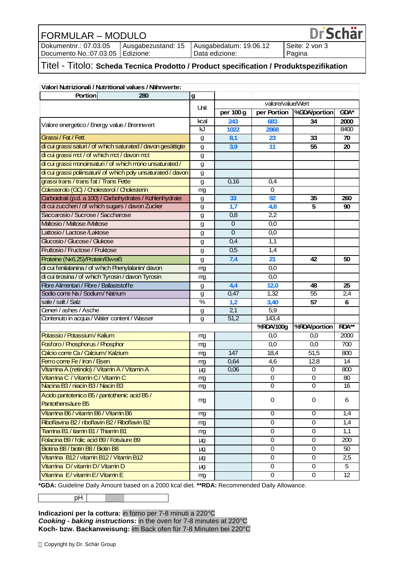# FORMULAR – MODULO Dokumentnr.: 07.03.05

Documento No.:07.03.05

Ausgabezustand: 15 Edizione:

Ausgabedatum: 19.06.12 Data edizione:

Seite: 2 von 3 Pagina

**DrSchär** 

# Titel - Titolo: **Scheda Tecnica Prodotto / Product specification / Produktspezifikation**

| Valori Nutrizionali / Nutritional values / Nährwerte:         |      |                   |                   |                |                 |
|---------------------------------------------------------------|------|-------------------|-------------------|----------------|-----------------|
| <b>Portion</b><br>280                                         | g    |                   |                   |                |                 |
|                                                               | Uhit |                   | valore/value/Wert |                |                 |
|                                                               |      | per 100 g         | per Portion       | %GDA/portion   | <b>GDA*</b>     |
| Valore energetico / Energy value / Brennwert                  |      | 243               | 683               | 34             | 2000            |
|                                                               | kJ   | 1022              | 2868              |                | 8400            |
| Grassi / Fat / Fett                                           | g    | 8,1               | 23                | 33             | 70              |
| di cui grassi saturi / of which saturated / davon gesättigte  | g    | 3,9               | 11                | 55             | 20              |
| di cui grassi mct / of which mct / davon mct                  | g    |                   |                   |                |                 |
| di cui grassi monoinsaturi / of which mono unsaturated /      | g    |                   |                   |                |                 |
| di cui grassi poliinsaturi/ of which poly unsaturated / davon | g    |                   |                   |                |                 |
| grassi trans / trans fat / Trans Fette                        | g    | 0,16              | 0,4               |                |                 |
| Colesterolo (GC) / Cholesterol / Cholesterin                  | mg   |                   | 0                 |                |                 |
| Carboidrati (p.d. a 100) / Carbohydrates / Kohlenhydrate      | g    | 33                | 92                | 35             | 260             |
| di cui zuccheri / of which sugars / davon Zucker              | g    | 1,7               | 4,8               | 5              | 90              |
| Saccarosio / Sucrose / Saccharose                             | g    | 0,8               | 2,2               |                |                 |
| Maltosio / Maltose /Maltose                                   | g    | $\Omega$          | 0,0               |                |                 |
| Lattosio / Lactose /Laktose                                   | g    | $\mathbf 0$       | 0,0               |                |                 |
| Glucosio / Glucose / Glukose                                  | g    | 0,4               | 1,1               |                |                 |
| Fruttosio / Fructose / Fruktose                               | g    | 0,5               | 1,4               |                |                 |
| Proteine (Nx6,25)/Protein/Eiweiß                              | g    | 7,4               | 21                | 42             | 50              |
| di cui fenilalanina / of which Phenylalanin/ davon            | mg   |                   | 0,0               |                |                 |
| di cui tirosina / of which Tyrosin / davon Tyrosin            | mg   |                   | 0,0               |                |                 |
| Fibre Alimentari / Fibre / Ballaststoffe                      | g    | 4,4               | 12,0              | 48             | 25              |
| Sodio come Na / Sodium/ Natrium                               | g    | 0,47              | 1,32              | 55             | 2,4             |
| sale / salt / Salz                                            | %    | 1,2               | 3,40              | 57             | 6               |
| Ceneri / ashes / Asche                                        | g    | 2,1               | 5,9               |                |                 |
| Contenuto in acqua / Water content / Wasser                   | g    | $\overline{51,2}$ | 143,4             |                |                 |
|                                                               |      |                   | %RDA/100g         | %RDA/portion   | $RDA**$         |
| Potassio / Potassium/ Kalium                                  | mg   |                   | 0,0               | 0,0            | 2000            |
| Fosforo / Phosphorus / Phosphor                               | mg   |                   | 0,0               | 0,0            | 700             |
| Calcio come Ca / Calcium/ Kalzium                             | mg   | 147               | 18,4              | 51,5           | 800             |
| Ferro come Fe / Iron / Eisen                                  | mg   | 0,64              | 4,6               | 12,8           | 14              |
| Vitamina A (retinolo) / Vitamin A / Vitamin A                 | μg   | 0,06              | 0                 | 0              | 800             |
| Vitamina C / Vitamin C/ Vitamin C                             | mg   |                   | 0                 | 0              | 80              |
| Nacina B3 / niacin B3 / Nacin B3                              | mg   |                   | $\Omega$          | 0              | 16              |
| Acido pantotenico B5 / pantothenic acid B5 /                  |      |                   | 0                 | 0              | 6               |
| Pantothensäure B5                                             | mg   |                   |                   |                |                 |
| Vitamina B6 / vitamin B6 / Vitamin B6                         | mg   |                   | 0                 | $\mathbf 0$    | 1,4             |
| Riboflavina B2 / riboflavin B2 / Riboflavin B2                | mg   |                   | 0                 | 0              | 1,4             |
| Tiamina B1 / tiamin B1 / Thiamin B1                           | mg   |                   | $\mathbf 0$       | $\overline{0}$ | 1,1             |
| Folacina B9 / folic acid B9 / Folsäure B9                     | μg   |                   | 0                 | $\mathbf 0$    | 200             |
| Biotina B8 / biotin B8 / Biotin B8                            | μg   |                   | $\mathbf 0$       | 0              | 50              |
| Vitamina B12 / vitamin B12 / Vitamin B12                      | μg   |                   | $\mathbf 0$       | 0              | 2,5             |
| Vitamina D/ vitamin D/ Vitamin D                              | μg   |                   | 0                 | 0              | 5               |
| Vitamina E/ vitamin E/ Vitamin E                              | mg   |                   | 0                 | 0              | $\overline{12}$ |

**\*GDA:** Guideline Daily Amount based on a 2000 kcal diet. **\*\*RDA:** Recommended Daily Allowance.

pH

**Indicazioni per la cottura:** in forno per 7-8 minuti a 220°C *Cooking - baking instructions:* in the oven for 7-8 minutes at 220°C **Koch- bzw. Backanweisung:** im Back ofen für 7-8 Minuten bei 220°C